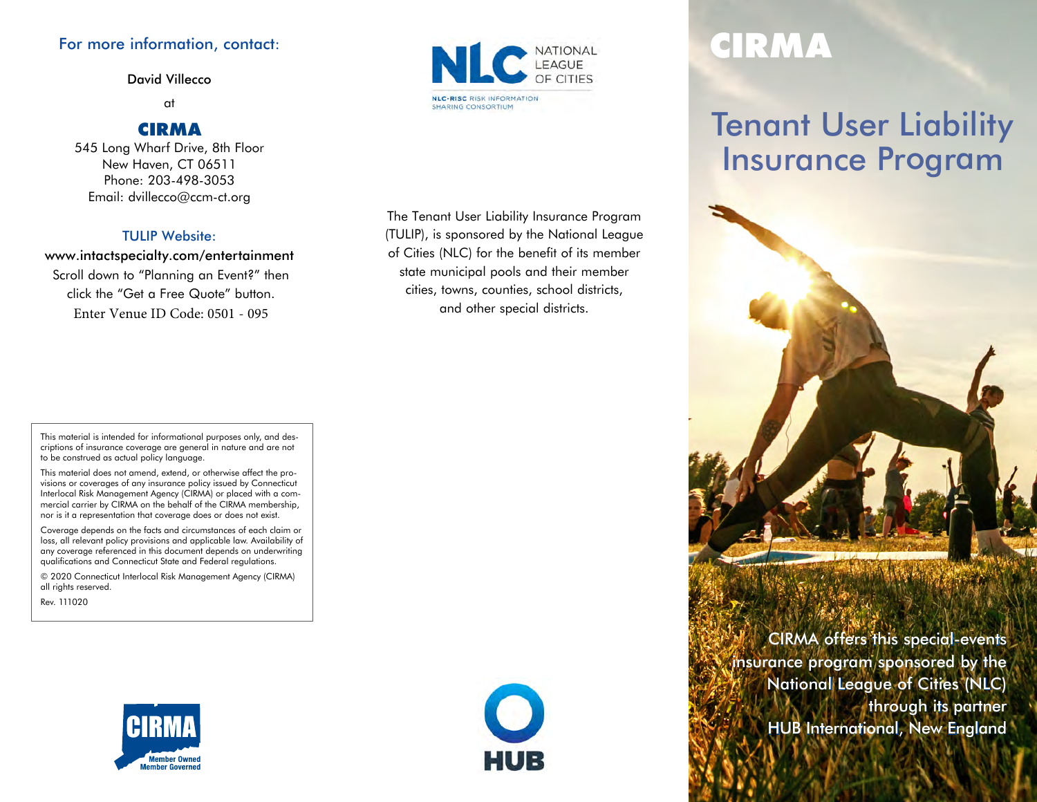#### For more information, contact:

David Villecco

at

#### CIRMA

545 Long Wharf Drive, 8th Floor New Haven, CT 06511 Phone: 203-498-3053 Email: dvillecco@ccm-ct.org

#### TULIP Website:

www.intactspecialty.com/entertainment Scroll down to "Planning an Event?" then click the "Get a Free Quote" button. Enter Venue ID Code: 0501 - 095

**NLC-RISC RISK INFORMATION SHARING CONSORTIUM** 

The Tenant User Liability Insurance Program (TULIP), is sponsored by the National League of Cities (NLC) for the benefit of its member state municipal pools and their member cities, towns, counties, school districts, and other special districts.

# CIRMA

# Tenant User Liability Insurance Program



This material is intended for informational purposes only, and descriptions of insurance coverage are general in nature and are not to be construed as actual policy language.

This material does not amend, extend, or otherwise affect the provisions or coverages of any insurance policy issued by Connecticut Interlocal Risk Management Agency (CIRMA) or placed with a commercial carrier by CIRMA on the behalf of the CIRMA membership, nor is it a representation that coverage does or does not exist.

Coverage depends on the facts and circumstances of each claim or loss, all relevant policy provisions and applicable law. Availability of any coverage referenced in this document depends on underwriting qualifications and Connecticut State and Federal regulations.

© 2020 Connecticut Interlocal Risk Management Agency (CIRMA) all rights reserved.

Rev. 111020





CIRMA offers this special-events insurance program sponsored by the National League of Cities (NLC) through its partner HUB International, New England